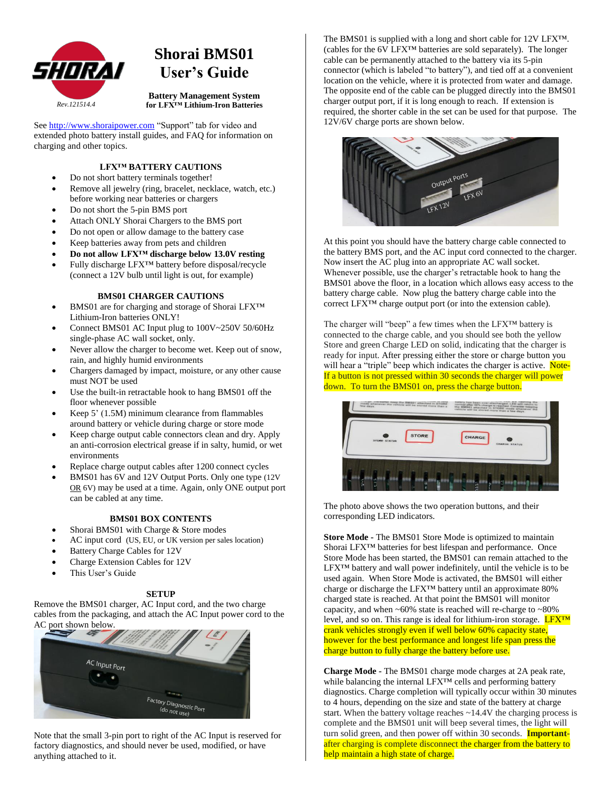

# **Shorai BMS01 User's Guide**

**Battery Management System for LFX™ Lithium-Iron Batteries**

See [http://www.shoraipower.com](http://www.shoraipower.com/) "Support" tab for video and extended photo battery install guides, and FAQ for information on charging and other topics.

## **LFX™ BATTERY CAUTIONS**

- Do not short battery terminals together!
- Remove all jewelry (ring, bracelet, necklace, watch, etc.)
- before working near batteries or chargers
- Do not short the 5-pin BMS port
- Attach ONLY Shorai Chargers to the BMS port
- Do not open or allow damage to the battery case
- Keep batteries away from pets and children
- **Do not allow LFX™ discharge below 13.0V resting**
- Fully discharge LFX™ battery before disposal/recycle (connect a 12V bulb until light is out, for example)

### **BMS01 CHARGER CAUTIONS**

- BMS01 are for charging and storage of Shorai LFX™ Lithium-Iron batteries ONLY!
- Connect BMS01 AC Input plug to 100V~250V 50/60Hz single-phase AC wall socket, only.
- Never allow the charger to become wet. Keep out of snow, rain, and highly humid environments
- Chargers damaged by impact, moisture, or any other cause must NOT be used
- Use the built-in retractable hook to hang BMS01 off the floor whenever possible
- Keep 5' (1.5M) minimum clearance from flammables around battery or vehicle during charge or store mode
- Keep charge output cable connectors clean and dry. Apply an anti-corrosion electrical grease if in salty, humid, or wet environments
- Replace charge output cables after 1200 connect cycles
- BMS01 has 6V and 12V Output Ports. Only one type (12V OR 6V) may be used at a time. Again, only ONE output port can be cabled at any time.

## **BMS01 BOX CONTENTS**

- Shorai BMS01 with Charge & Store modes
- AC input cord (US, EU, or UK version per sales location)
- Battery Charge Cables for 12V
- Charge Extension Cables for 12V
- This User's Guide

## **SETUP**

Remove the BMS01 charger, AC Input cord, and the two charge cables from the packaging, and attach the AC Input power cord to the AC port shown below.



Note that the small 3-pin port to right of the AC Input is reserved for factory diagnostics, and should never be used, modified, or have anything attached to it.

The BMS01 is supplied with a long and short cable for 12V LFX™. (cables for the 6V LFX™ batteries are sold separately). The longer cable can be permanently attached to the battery via its 5-pin connector (which is labeled "to battery"), and tied off at a convenient location on the vehicle, where it is protected from water and damage. The opposite end of the cable can be plugged directly into the BMS01 charger output port, if it is long enough to reach. If extension is required, the shorter cable in the set can be used for that purpose. The 12V/6V charge ports are shown below.



At this point you should have the battery charge cable connected to the battery BMS port, and the AC input cord connected to the charger. Now insert the AC plug into an appropriate AC wall socket. Whenever possible, use the charger's retractable hook to hang the BMS01 above the floor, in a location which allows easy access to the battery charge cable. Now plug the battery charge cable into the correct LFX™ charge output port (or into the extension cable).

The charger will "beep" a few times when the LFX™ battery is connected to the charge cable, and you should see both the yellow Store and green Charge LED on solid, indicating that the charger is ready for input. After pressing either the store or charge button you will hear a "triple" beep which indicates the charger is active. Note-If a button is not pressed within 30 seconds the charger will power down. To turn the BMS01 on, press the charge button.



The photo above shows the two operation buttons, and their corresponding LED indicators.

**Store Mode -** The BMS01 Store Mode is optimized to maintain Shorai LFX™ batteries for best lifespan and performance. Once Store Mode has been started, the BMS01 can remain attached to the LFX™ battery and wall power indefinitely, until the vehicle is to be used again. When Store Mode is activated, the BMS01 will either charge or discharge the LFX™ battery until an approximate 80% charged state is reached. At that point the BMS01 will monitor capacity, and when  $~60\%$  state is reached will re-charge to  $~80\%$ level, and so on. This range is ideal for lithium-iron storage.  $L$  $\overline{Y}X^{TM}$ crank vehicles strongly even if well below 60% capacity state, however for the best performance and longest life span press the charge button to fully charge the battery before use.

**Charge Mode -** The BMS01 charge mode charges at 2A peak rate, while balancing the internal LFX™ cells and performing battery diagnostics. Charge completion will typically occur within 30 minutes to 4 hours, depending on the size and state of the battery at charge start. When the battery voltage reaches ~14.4V the charging process is complete and the BMS01 unit will beep several times, the light will turn solid green, and then power off within 30 seconds. **Important**after charging is complete disconnect the charger from the battery to help maintain a high state of charge.